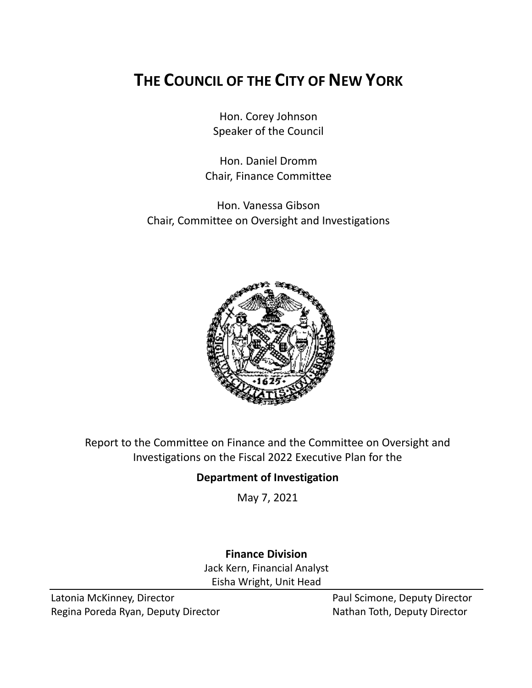# **THE COUNCIL OF THE CITY OF NEW YORK**

Hon. Corey Johnson Speaker of the Council

Hon. Daniel Dromm Chair, Finance Committee

Hon. Vanessa Gibson Chair, Committee on Oversight and Investigations



Report to the Committee on Finance and the Committee on Oversight and Investigations on the Fiscal 2022 Executive Plan for the

## **Department of Investigation**

May 7, 2021

# **Finance Division**

Jack Kern, Financial Analyst Eisha Wright, Unit Head

Latonia McKinney, Director **Paul Scimone, Deputy Director** Paul Scimone, Deputy Director Regina Poreda Ryan, Deputy Director Nathan Toth, Deputy Director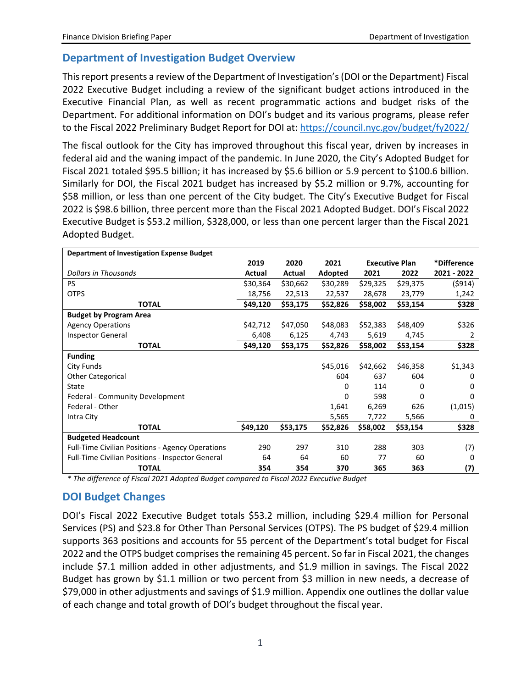#### **Department of Investigation Budget Overview**

This report presents a review of the Department of Investigation's(DOI or the Department) Fiscal 2022 Executive Budget including a review of the significant budget actions introduced in the Executive Financial Plan, as well as recent programmatic actions and budget risks of the Department. For additional information on DOI's budget and its various programs, please refer to the Fiscal 2022 Preliminary Budget Report for DOI at:<https://council.nyc.gov/budget/fy2022/>

The fiscal outlook for the City has improved throughout this fiscal year, driven by increases in federal aid and the waning impact of the pandemic. In June 2020, the City's Adopted Budget for Fiscal 2021 totaled \$95.5 billion; it has increased by \$5.6 billion or 5.9 percent to \$100.6 billion. Similarly for DOI, the Fiscal 2021 budget has increased by \$5.2 million or 9.7%, accounting for \$58 million, or less than one percent of the City budget. The City's Executive Budget for Fiscal 2022 is \$98.6 billion, three percent more than the Fiscal 2021 Adopted Budget. DOI's Fiscal 2022 Executive Budget is \$53.2 million, \$328,000, or less than one percent larger than the Fiscal 2021 Adopted Budget.

| <b>Department of Investigation Expense Budget</b>       |          |          |          |                       |          |             |
|---------------------------------------------------------|----------|----------|----------|-----------------------|----------|-------------|
|                                                         | 2019     | 2020     | 2021     | <b>Executive Plan</b> |          | *Difference |
| <b>Dollars in Thousands</b>                             | Actual   | Actual   | Adopted  | 2021                  | 2022     | 2021 - 2022 |
| <b>PS</b>                                               | \$30,364 | \$30,662 | \$30,289 | \$29,325              | \$29,375 | (\$914)     |
| <b>OTPS</b>                                             | 18,756   | 22,513   | 22,537   | 28,678                | 23,779   | 1,242       |
| TOTAL                                                   | \$49,120 | \$53,175 | \$52,826 | \$58,002              | \$53,154 | \$328       |
| <b>Budget by Program Area</b>                           |          |          |          |                       |          |             |
| <b>Agency Operations</b>                                | \$42,712 | \$47,050 | \$48,083 | \$52,383              | \$48,409 | \$326       |
| Inspector General                                       | 6,408    | 6,125    | 4,743    | 5,619                 | 4,745    | 2           |
| <b>TOTAL</b>                                            | \$49,120 | \$53,175 | \$52,826 | \$58,002              | \$53,154 | \$328       |
| <b>Funding</b>                                          |          |          |          |                       |          |             |
| <b>City Funds</b>                                       |          |          | \$45,016 | \$42,662              | \$46,358 | \$1,343     |
| <b>Other Categorical</b>                                |          |          | 604      | 637                   | 604      | O           |
| State                                                   |          |          | 0        | 114                   | 0        | 0           |
| Federal - Community Development                         |          |          | 0        | 598                   | 0        | O           |
| Federal - Other                                         |          |          | 1,641    | 6,269                 | 626      | (1,015)     |
| Intra City                                              |          |          | 5,565    | 7,722                 | 5,566    | 0           |
| <b>TOTAL</b>                                            | \$49,120 | \$53,175 | \$52,826 | \$58,002              | \$53,154 | \$328       |
| <b>Budgeted Headcount</b>                               |          |          |          |                       |          |             |
| Full-Time Civilian Positions - Agency Operations        | 290      | 297      | 310      | 288                   | 303      | (7)         |
| <b>Full-Time Civilian Positions - Inspector General</b> | 64       | 64       | 60       | 77                    | 60       | 0           |
| <b>TOTAL</b>                                            | 354      | 354      | 370      | 365                   | 363      | (7)         |

*\* The difference of Fiscal 2021 Adopted Budget compared to Fiscal 2022 Executive Budget*

### **DOI Budget Changes**

DOI's Fiscal 2022 Executive Budget totals \$53.2 million, including \$29.4 million for Personal Services (PS) and \$23.8 for Other Than Personal Services (OTPS). The PS budget of \$29.4 million supports 363 positions and accounts for 55 percent of the Department's total budget for Fiscal 2022 and the OTPS budget comprises the remaining 45 percent. So far in Fiscal 2021, the changes include \$7.1 million added in other adjustments, and \$1.9 million in savings. The Fiscal 2022 Budget has grown by \$1.1 million or two percent from \$3 million in new needs, a decrease of \$79,000 in other adjustments and savings of \$1.9 million. Appendix one outlines the dollar value of each change and total growth of DOI's budget throughout the fiscal year.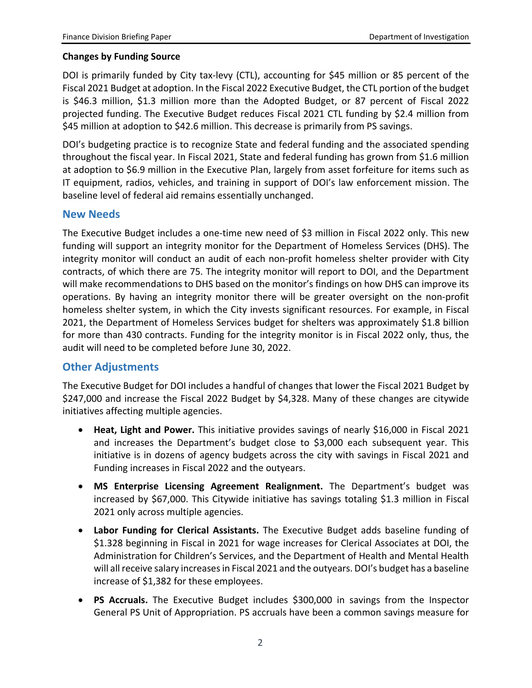#### **Changes by Funding Source**

DOI is primarily funded by City tax-levy (CTL), accounting for \$45 million or 85 percent of the Fiscal 2021 Budget at adoption. In the Fiscal 2022 Executive Budget, the CTL portion of the budget is \$46.3 million, \$1.3 million more than the Adopted Budget, or 87 percent of Fiscal 2022 projected funding. The Executive Budget reduces Fiscal 2021 CTL funding by \$2.4 million from \$45 million at adoption to \$42.6 million. This decrease is primarily from PS savings.

DOI's budgeting practice is to recognize State and federal funding and the associated spending throughout the fiscal year. In Fiscal 2021, State and federal funding has grown from \$1.6 million at adoption to \$6.9 million in the Executive Plan, largely from asset forfeiture for items such as IT equipment, radios, vehicles, and training in support of DOI's law enforcement mission. The baseline level of federal aid remains essentially unchanged.

#### **New Needs**

The Executive Budget includes a one-time new need of \$3 million in Fiscal 2022 only. This new funding will support an integrity monitor for the Department of Homeless Services (DHS). The integrity monitor will conduct an audit of each non-profit homeless shelter provider with City contracts, of which there are 75. The integrity monitor will report to DOI, and the Department will make recommendations to DHS based on the monitor's findings on how DHS can improve its operations. By having an integrity monitor there will be greater oversight on the non-profit homeless shelter system, in which the City invests significant resources. For example, in Fiscal 2021, the Department of Homeless Services budget for shelters was approximately \$1.8 billion for more than 430 contracts. Funding for the integrity monitor is in Fiscal 2022 only, thus, the audit will need to be completed before June 30, 2022.

#### **Other Adjustments**

The Executive Budget for DOI includes a handful of changes that lower the Fiscal 2021 Budget by \$247,000 and increase the Fiscal 2022 Budget by \$4,328. Many of these changes are citywide initiatives affecting multiple agencies.

- **Heat, Light and Power.** This initiative provides savings of nearly \$16,000 in Fiscal 2021 and increases the Department's budget close to \$3,000 each subsequent year. This initiative is in dozens of agency budgets across the city with savings in Fiscal 2021 and Funding increases in Fiscal 2022 and the outyears.
- **MS Enterprise Licensing Agreement Realignment.** The Department's budget was increased by \$67,000. This Citywide initiative has savings totaling \$1.3 million in Fiscal 2021 only across multiple agencies.
- **Labor Funding for Clerical Assistants.** The Executive Budget adds baseline funding of \$1.328 beginning in Fiscal in 2021 for wage increases for Clerical Associates at DOI, the Administration for Children's Services, and the Department of Health and Mental Health will all receive salary increases in Fiscal 2021 and the outyears. DOI's budget has a baseline increase of \$1,382 for these employees.
- **PS Accruals.** The Executive Budget includes \$300,000 in savings from the Inspector General PS Unit of Appropriation. PS accruals have been a common savings measure for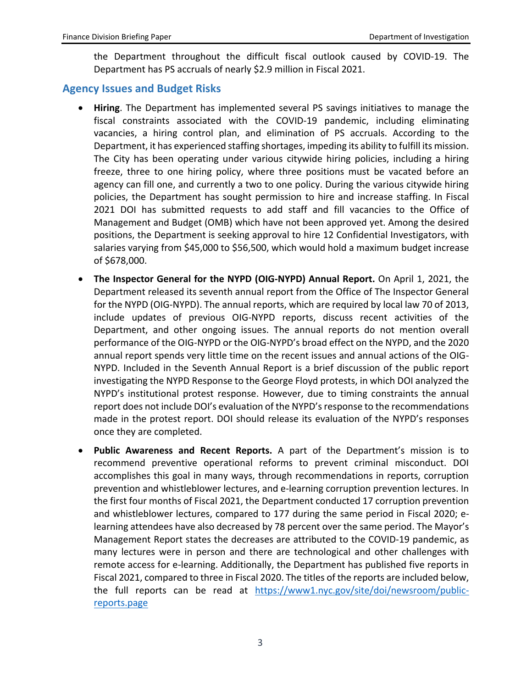the Department throughout the difficult fiscal outlook caused by COVID-19. The Department has PS accruals of nearly \$2.9 million in Fiscal 2021.

#### **Agency Issues and Budget Risks**

- **Hiring**. The Department has implemented several PS savings initiatives to manage the fiscal constraints associated with the COVID-19 pandemic, including eliminating vacancies, a hiring control plan, and elimination of PS accruals. According to the Department, it has experienced staffing shortages, impeding its ability to fulfill its mission. The City has been operating under various citywide hiring policies, including a hiring freeze, three to one hiring policy, where three positions must be vacated before an agency can fill one, and currently a two to one policy. During the various citywide hiring policies, the Department has sought permission to hire and increase staffing. In Fiscal 2021 DOI has submitted requests to add staff and fill vacancies to the Office of Management and Budget (OMB) which have not been approved yet. Among the desired positions, the Department is seeking approval to hire 12 Confidential Investigators, with salaries varying from \$45,000 to \$56,500, which would hold a maximum budget increase of \$678,000.
- **The Inspector General for the NYPD (OIG-NYPD) Annual Report.** On April 1, 2021, the Department released its seventh annual report from the Office of The Inspector General for the NYPD (OIG-NYPD). The annual reports, which are required by local law 70 of 2013, include updates of previous OIG-NYPD reports, discuss recent activities of the Department, and other ongoing issues. The annual reports do not mention overall performance of the OIG-NYPD or the OIG-NYPD's broad effect on the NYPD, and the 2020 annual report spends very little time on the recent issues and annual actions of the OIG-NYPD. Included in the Seventh Annual Report is a brief discussion of the public report investigating the NYPD Response to the George Floyd protests, in which DOI analyzed the NYPD's institutional protest response. However, due to timing constraints the annual report does not include DOI's evaluation of the NYPD's response to the recommendations made in the protest report. DOI should release its evaluation of the NYPD's responses once they are completed.
- **Public Awareness and Recent Reports.** A part of the Department's mission is to recommend preventive operational reforms to prevent criminal misconduct. DOI accomplishes this goal in many ways, through recommendations in reports, corruption prevention and whistleblower lectures, and e-learning corruption prevention lectures. In the first four months of Fiscal 2021, the Department conducted 17 corruption prevention and whistleblower lectures, compared to 177 during the same period in Fiscal 2020; elearning attendees have also decreased by 78 percent over the same period. The Mayor's Management Report states the decreases are attributed to the COVID-19 pandemic, as many lectures were in person and there are technological and other challenges with remote access for e-learning. Additionally, the Department has published five reports in Fiscal 2021, compared to three in Fiscal 2020. The titles of the reports are included below, the full reports can be read at [https://www1.nyc.gov/site/doi/newsroom/public](https://www1.nyc.gov/site/doi/newsroom/public-reports.page)[reports.page](https://www1.nyc.gov/site/doi/newsroom/public-reports.page)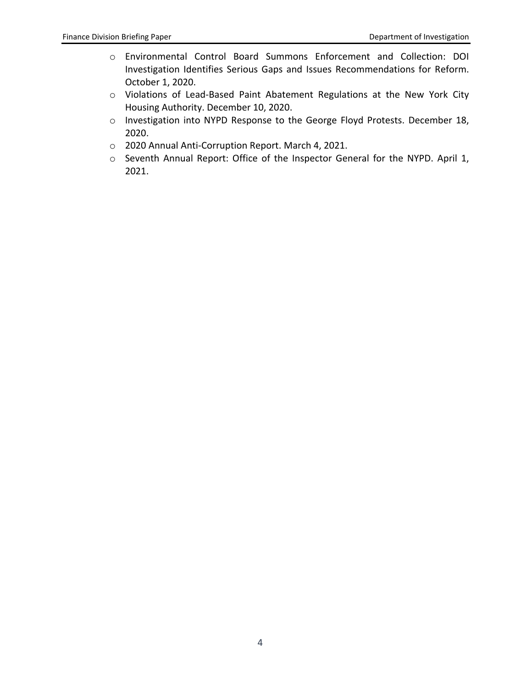- o Environmental Control Board Summons Enforcement and Collection: DOI Investigation Identifies Serious Gaps and Issues Recommendations for Reform. October 1, 2020.
- o Violations of Lead-Based Paint Abatement Regulations at the New York City Housing Authority. December 10, 2020.
- o Investigation into NYPD Response to the George Floyd Protests. December 18, 2020.
- o 2020 Annual Anti-Corruption Report. March 4, 2021.
- o Seventh Annual Report: Office of the Inspector General for the NYPD. April 1, 2021.